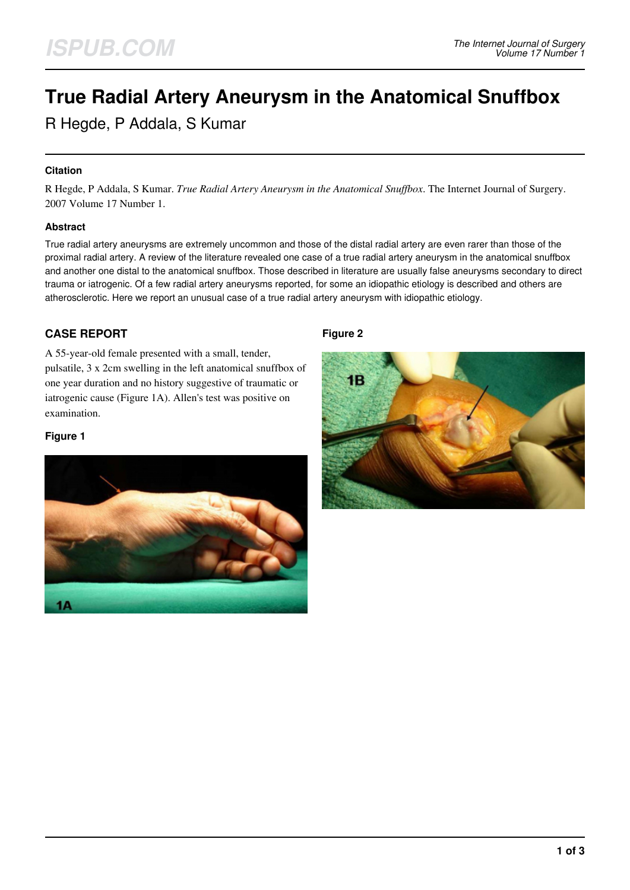# **True Radial Artery Aneurysm in the Anatomical Snuffbox**

R Hegde, P Addala, S Kumar

## **Citation**

R Hegde, P Addala, S Kumar. *True Radial Artery Aneurysm in the Anatomical Snuffbox*. The Internet Journal of Surgery. 2007 Volume 17 Number 1.

## **Abstract**

True radial artery aneurysms are extremely uncommon and those of the distal radial artery are even rarer than those of the proximal radial artery. A review of the literature revealed one case of a true radial artery aneurysm in the anatomical snuffbox and another one distal to the anatomical snuffbox. Those described in literature are usually false aneurysms secondary to direct trauma or iatrogenic. Of a few radial artery aneurysms reported, for some an idiopathic etiology is described and others are atherosclerotic. Here we report an unusual case of a true radial artery aneurysm with idiopathic etiology.

# **CASE REPORT**

A 55-year-old female presented with a small, tender, pulsatile, 3 x 2cm swelling in the left anatomical snuffbox of one year duration and no history suggestive of traumatic or iatrogenic cause (Figure 1A). Allen's test was positive on examination.

## **Figure 1**



## **Figure 2**

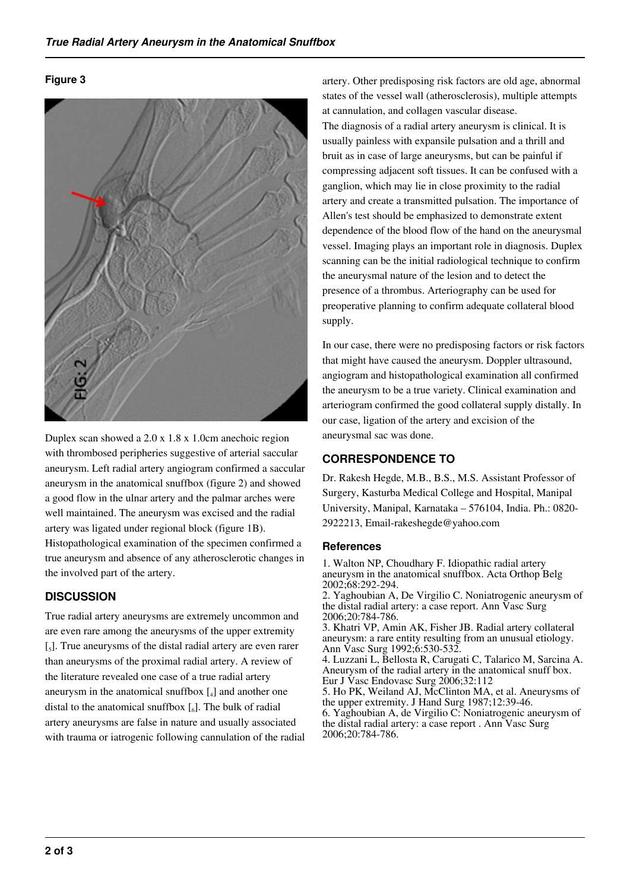## **Figure 3**



Duplex scan showed a 2.0 x 1.8 x 1.0cm anechoic region with thrombosed peripheries suggestive of arterial saccular aneurysm. Left radial artery angiogram confirmed a saccular aneurysm in the anatomical snuffbox (figure 2) and showed a good flow in the ulnar artery and the palmar arches were well maintained. The aneurysm was excised and the radial artery was ligated under regional block (figure 1B). Histopathological examination of the specimen confirmed a true aneurysm and absence of any atherosclerotic changes in the involved part of the artery.

# **DISCUSSION**

True radial artery aneurysms are extremely uncommon and are even rare among the aneurysms of the upper extremity [<sub>5</sub>]. True aneurysms of the distal radial artery are even rarer than aneurysms of the proximal radial artery. A review of the literature revealed one case of a true radial artery aneurysm in the anatomical snuffbox  $\left[ \begin{smallmatrix} 1 \end{smallmatrix} \right]$  and another one distal to the anatomical snuffbox  $\left[\begin{smallmatrix}6\end{smallmatrix}\right]$ . The bulk of radial artery aneurysms are false in nature and usually associated with trauma or iatrogenic following cannulation of the radial artery. Other predisposing risk factors are old age, abnormal states of the vessel wall (atherosclerosis), multiple attempts at cannulation, and collagen vascular disease. The diagnosis of a radial artery aneurysm is clinical. It is usually painless with expansile pulsation and a thrill and bruit as in case of large aneurysms, but can be painful if compressing adjacent soft tissues. It can be confused with a ganglion, which may lie in close proximity to the radial artery and create a transmitted pulsation. The importance of Allen's test should be emphasized to demonstrate extent dependence of the blood flow of the hand on the aneurysmal vessel. Imaging plays an important role in diagnosis. Duplex scanning can be the initial radiological technique to confirm the aneurysmal nature of the lesion and to detect the presence of a thrombus. Arteriography can be used for preoperative planning to confirm adequate collateral blood supply.

In our case, there were no predisposing factors or risk factors that might have caused the aneurysm. Doppler ultrasound, angiogram and histopathological examination all confirmed the aneurysm to be a true variety. Clinical examination and arteriogram confirmed the good collateral supply distally. In our case, ligation of the artery and excision of the aneurysmal sac was done.

# **CORRESPONDENCE TO**

Dr. Rakesh Hegde, M.B., B.S., M.S. Assistant Professor of Surgery, Kasturba Medical College and Hospital, Manipal University, Manipal, Karnataka – 576104, India. Ph.: 0820- 2922213, Email-rakeshegde@yahoo.com

## **References**

1. Walton NP, Choudhary F. Idiopathic radial artery aneurysm in the anatomical snuffbox. Acta Orthop Belg 2002;68:292-294.

2. Yaghoubian A, De Virgilio C. Noniatrogenic aneurysm of the distal radial artery: a case report. Ann Vasc Surg 2006;20:784-786.

3. Khatri VP, Amin AK, Fisher JB. Radial artery collateral aneurysm: a rare entity resulting from an unusual etiology. Ann Vasc Surg 1992;6:530-532.

4. Luzzani L, Bellosta R, Carugati C, Talarico M, Sarcina A. Aneurysm of the radial artery in the anatomical snuff box. Eur J Vasc Endovasc Surg 2006;32:112

5. Ho PK, Weiland AJ, McClinton MA, et al. Aneurysms of the upper extremity. J Hand Surg 1987;12:39-46. 6. Yaghoubian A, de Virgilio C: Noniatrogenic aneurysm of the distal radial artery: a case report . Ann Vasc Surg 2006;20:784-786.